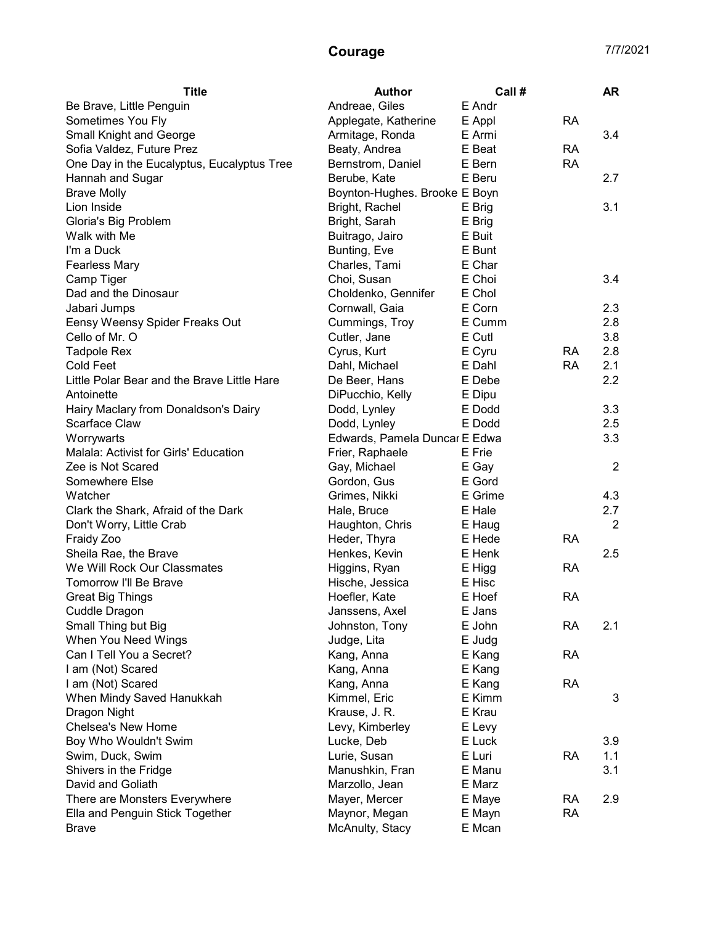## Courage 7/7/2021

| <b>Title</b>                                | <b>Author</b>                 | Call #  |           | <b>AR</b>      |
|---------------------------------------------|-------------------------------|---------|-----------|----------------|
| Be Brave, Little Penguin                    | Andreae, Giles                | E Andr  |           |                |
| Sometimes You Fly                           | Applegate, Katherine          | E Appl  | <b>RA</b> |                |
| Small Knight and George                     | Armitage, Ronda               | E Armi  |           | 3.4            |
| Sofia Valdez, Future Prez                   | Beaty, Andrea                 | E Beat  | <b>RA</b> |                |
| One Day in the Eucalyptus, Eucalyptus Tree  | Bernstrom, Daniel             | E Bern  | <b>RA</b> |                |
| Hannah and Sugar                            | Berube, Kate                  | E Beru  |           | 2.7            |
| <b>Brave Molly</b>                          | Boynton-Hughes. Brooke E Boyn |         |           |                |
| Lion Inside                                 | Bright, Rachel                | E Brig  |           | 3.1            |
| Gloria's Big Problem                        | Bright, Sarah                 | E Brig  |           |                |
| Walk with Me                                | Buitrago, Jairo               | E Buit  |           |                |
| I'm a Duck                                  | Bunting, Eve                  | E Bunt  |           |                |
| <b>Fearless Mary</b>                        | Charles, Tami                 | E Char  |           |                |
| Camp Tiger                                  | Choi, Susan                   | E Choi  |           | 3.4            |
| Dad and the Dinosaur                        | Choldenko, Gennifer           | E Chol  |           |                |
| Jabari Jumps                                | Cornwall, Gaia                | E Corn  |           | 2.3            |
| Eensy Weensy Spider Freaks Out              | Cummings, Troy                | E Cumm  |           | 2.8            |
| Cello of Mr. O                              | Cutler, Jane                  | E Cutl  |           | 3.8            |
| <b>Tadpole Rex</b>                          | Cyrus, Kurt                   | E Cyru  | <b>RA</b> | 2.8            |
| Cold Feet                                   | Dahl, Michael                 | E Dahl  | <b>RA</b> | 2.1            |
| Little Polar Bear and the Brave Little Hare | De Beer, Hans                 | E Debe  |           | 2.2            |
| Antoinette                                  | DiPucchio, Kelly              | E Dipu  |           |                |
| Hairy Maclary from Donaldson's Dairy        | Dodd, Lynley                  | E Dodd  |           | 3.3            |
| Scarface Claw                               | Dodd, Lynley                  | E Dodd  |           | 2.5            |
| Worrywarts                                  | Edwards, Pamela Duncar E Edwa |         |           | 3.3            |
| Malala: Activist for Girls' Education       | Frier, Raphaele               | E Frie  |           |                |
| Zee is Not Scared                           | Gay, Michael                  | E Gay   |           | $\overline{2}$ |
| Somewhere Else                              | Gordon, Gus                   | E Gord  |           |                |
| Watcher                                     | Grimes, Nikki                 | E Grime |           | 4.3            |
| Clark the Shark, Afraid of the Dark         | Hale, Bruce                   | E Hale  |           | 2.7            |
| Don't Worry, Little Crab                    | Haughton, Chris               | E Haug  |           | $\overline{2}$ |
| Fraidy Zoo                                  | Heder, Thyra                  | E Hede  | <b>RA</b> |                |
| Sheila Rae, the Brave                       | Henkes, Kevin                 | E Henk  |           | 2.5            |
| We Will Rock Our Classmates                 | Higgins, Ryan                 | E Higg  | <b>RA</b> |                |
| Tomorrow I'll Be Brave                      | Hische, Jessica               | E Hisc  |           |                |
| <b>Great Big Things</b>                     | Hoefler, Kate                 | E Hoef  | <b>RA</b> |                |
| Cuddle Dragon                               | Janssens, Axel                | E Jans  |           |                |
| Small Thing but Big                         | Johnston, Tony                | E John  | RA        | 2.1            |
| When You Need Wings                         | Judge, Lita                   | E Judg  |           |                |
| Can I Tell You a Secret?                    | Kang, Anna                    | E Kang  | <b>RA</b> |                |
| I am (Not) Scared                           | Kang, Anna                    | E Kang  |           |                |
| I am (Not) Scared                           | Kang, Anna                    | E Kang  | <b>RA</b> |                |
| When Mindy Saved Hanukkah                   | Kimmel, Eric                  | E Kimm  |           | 3              |
| Dragon Night                                | Krause, J. R.                 | E Krau  |           |                |
| Chelsea's New Home                          | Levy, Kimberley               | E Levy  |           |                |
| Boy Who Wouldn't Swim                       | Lucke, Deb                    | E Luck  |           | 3.9            |
| Swim, Duck, Swim                            | Lurie, Susan                  | E Luri  | <b>RA</b> | 1.1            |
| Shivers in the Fridge                       | Manushkin, Fran               | E Manu  |           | 3.1            |
| David and Goliath                           | Marzollo, Jean                | E Marz  |           |                |
| There are Monsters Everywhere               | Mayer, Mercer                 | E Maye  | <b>RA</b> | 2.9            |
| Ella and Penguin Stick Together             | Maynor, Megan                 | E Mayn  | <b>RA</b> |                |
| <b>Brave</b>                                | McAnulty, Stacy               | E Mcan  |           |                |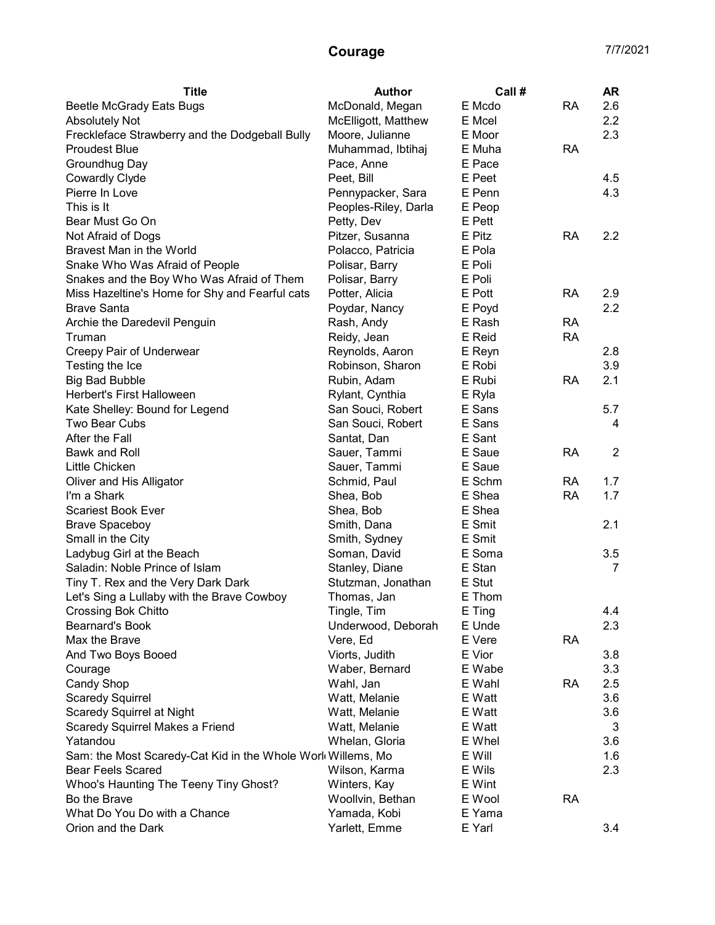## Courage 7/7/2021

| <b>Title</b>                                                | <b>Author</b>        | Call # |           | <b>AR</b>      |
|-------------------------------------------------------------|----------------------|--------|-----------|----------------|
| <b>Beetle McGrady Eats Bugs</b>                             | McDonald, Megan      | E Mcdo | <b>RA</b> | 2.6            |
| <b>Absolutely Not</b>                                       | McElligott, Matthew  | E Mcel |           | 2.2            |
| Freckleface Strawberry and the Dodgeball Bully              | Moore, Julianne      | E Moor |           | 2.3            |
| <b>Proudest Blue</b>                                        | Muhammad, Ibtihaj    | E Muha | <b>RA</b> |                |
| Groundhug Day                                               | Pace, Anne           | E Pace |           |                |
| <b>Cowardly Clyde</b>                                       | Peet, Bill           | E Peet |           | 4.5            |
| Pierre In Love                                              | Pennypacker, Sara    | E Penn |           | 4.3            |
| This is It                                                  | Peoples-Riley, Darla | E Peop |           |                |
| Bear Must Go On                                             | Petty, Dev           | E Pett |           |                |
| Not Afraid of Dogs                                          | Pitzer, Susanna      | E Pitz | <b>RA</b> | 2.2            |
| Bravest Man in the World                                    | Polacco, Patricia    | E Pola |           |                |
| Snake Who Was Afraid of People                              | Polisar, Barry       | E Poli |           |                |
| Snakes and the Boy Who Was Afraid of Them                   | Polisar, Barry       | E Poli |           |                |
| Miss Hazeltine's Home for Shy and Fearful cats              | Potter, Alicia       | E Pott | <b>RA</b> | 2.9            |
| <b>Brave Santa</b>                                          | Poydar, Nancy        | E Poyd |           | 2.2            |
| Archie the Daredevil Penguin                                | Rash, Andy           | E Rash | <b>RA</b> |                |
| Truman                                                      | Reidy, Jean          | E Reid | <b>RA</b> |                |
| Creepy Pair of Underwear                                    | Reynolds, Aaron      | E Reyn |           | 2.8            |
| Testing the Ice                                             | Robinson, Sharon     | E Robi |           | 3.9            |
| <b>Big Bad Bubble</b>                                       | Rubin, Adam          | E Rubi | <b>RA</b> | 2.1            |
| Herbert's First Halloween                                   | Rylant, Cynthia      | E Ryla |           |                |
| Kate Shelley: Bound for Legend                              | San Souci, Robert    | E Sans |           | 5.7            |
| Two Bear Cubs                                               | San Souci, Robert    | E Sans |           | 4              |
| After the Fall                                              | Santat, Dan          | E Sant |           |                |
| Bawk and Roll                                               | Sauer, Tammi         | E Saue | <b>RA</b> | $\overline{2}$ |
| Little Chicken                                              | Sauer, Tammi         | E Saue |           |                |
| Oliver and His Alligator                                    | Schmid, Paul         | E Schm | <b>RA</b> | 1.7            |
| I'm a Shark                                                 | Shea, Bob            | E Shea | <b>RA</b> | 1.7            |
| <b>Scariest Book Ever</b>                                   | Shea, Bob            | E Shea |           |                |
| <b>Brave Spaceboy</b>                                       | Smith, Dana          | E Smit |           | 2.1            |
| Small in the City                                           | Smith, Sydney        | E Smit |           |                |
| Ladybug Girl at the Beach                                   | Soman, David         | E Soma |           | 3.5            |
| Saladin: Noble Prince of Islam                              | Stanley, Diane       | E Stan |           | 7              |
| Tiny T. Rex and the Very Dark Dark                          | Stutzman, Jonathan   | E Stut |           |                |
| Let's Sing a Lullaby with the Brave Cowboy                  | Thomas, Jan          | E Thom |           |                |
| Crossing Bok Chitto                                         | Tingle, Tim          | E Ting |           | 4.4            |
| Bearnard's Book                                             | Underwood, Deborah   | E Unde |           | 2.3            |
| Max the Brave                                               | Vere, Ed             | E Vere | <b>RA</b> |                |
| And Two Boys Booed                                          | Viorts, Judith       | E Vior |           | 3.8            |
| Courage                                                     | Waber, Bernard       | E Wabe |           | 3.3            |
| Candy Shop                                                  | Wahl, Jan            | E Wahl | <b>RA</b> | 2.5            |
| <b>Scaredy Squirrel</b>                                     | Watt, Melanie        | E Watt |           | 3.6            |
| <b>Scaredy Squirrel at Night</b>                            | Watt, Melanie        | E Watt |           | 3.6            |
| Scaredy Squirrel Makes a Friend                             | Watt, Melanie        | E Watt |           | 3              |
| Yatandou                                                    | Whelan, Gloria       | E Whel |           | 3.6            |
| Sam: the Most Scaredy-Cat Kid in the Whole Work Willems, Mo |                      | E Will |           | 1.6            |
| Bear Feels Scared                                           | Wilson, Karma        | E Wils |           | 2.3            |
| Whoo's Haunting The Teeny Tiny Ghost?                       | Winters, Kay         | E Wint |           |                |
| Bo the Brave                                                | Woollvin, Bethan     | E Wool | <b>RA</b> |                |
| What Do You Do with a Chance                                | Yamada, Kobi         | E Yama |           |                |
| Orion and the Dark                                          | Yarlett, Emme        | E Yarl |           | 3.4            |
|                                                             |                      |        |           |                |